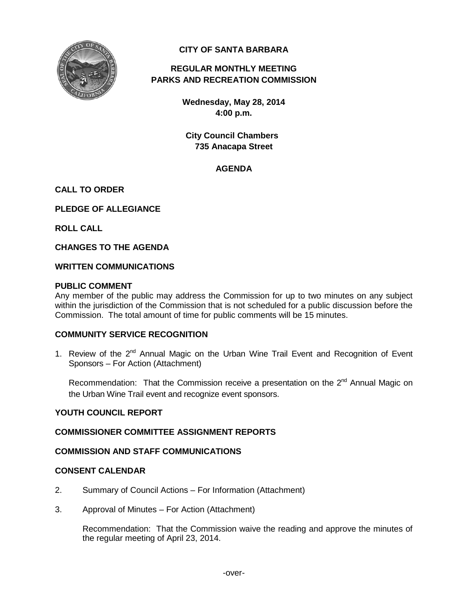

# **CITY OF SANTA BARBARA**

# **REGULAR MONTHLY MEETING PARKS AND RECREATION COMMISSION**

**Wednesday, May 28, 2014 4:00 p.m.**

**City Council Chambers 735 Anacapa Street**

# **AGENDA**

### **CALL TO ORDER**

**PLEDGE OF ALLEGIANCE**

**ROLL CALL**

**CHANGES TO THE AGENDA**

#### **WRITTEN COMMUNICATIONS**

#### **PUBLIC COMMENT**

Any member of the public may address the Commission for up to two minutes on any subject within the jurisdiction of the Commission that is not scheduled for a public discussion before the Commission. The total amount of time for public comments will be 15 minutes.

#### **COMMUNITY SERVICE RECOGNITION**

1. Review of the  $2^{nd}$  Annual Magic on the Urban Wine Trail Event and Recognition of Event Sponsors – For Action (Attachment)

Recommendation: That the Commission receive a presentation on the  $2^{nd}$  Annual Magic on the Urban Wine Trail event and recognize event sponsors.

### **YOUTH COUNCIL REPORT**

### **COMMISSIONER COMMITTEE ASSIGNMENT REPORTS**

#### **COMMISSION AND STAFF COMMUNICATIONS**

### **CONSENT CALENDAR**

- 2. Summary of Council Actions For Information (Attachment)
- 3. Approval of Minutes For Action (Attachment)

Recommendation: That the Commission waive the reading and approve the minutes of the regular meeting of April 23, 2014.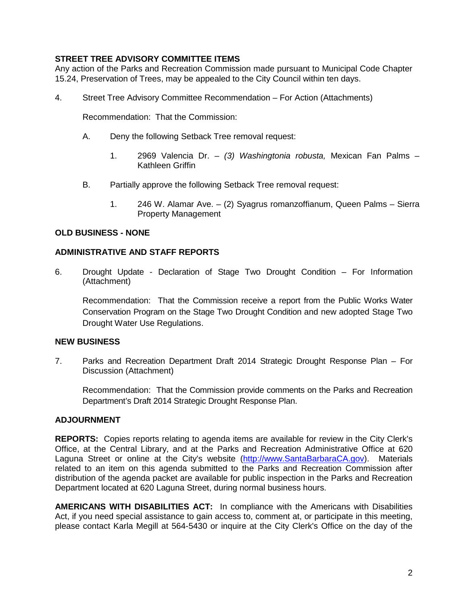# **STREET TREE ADVISORY COMMITTEE ITEMS**

Any action of the Parks and Recreation Commission made pursuant to Municipal Code Chapter 15.24, Preservation of Trees, may be appealed to the City Council within ten days.

4. Street Tree Advisory Committee Recommendation – For Action (Attachments)

Recommendation: That the Commission:

- A. Deny the following Setback Tree removal request:
	- 1. 2969 Valencia Dr. *(3) Washingtonia robusta,* Mexican Fan Palms Kathleen Griffin
- B. Partially approve the following Setback Tree removal request:
	- 1. 246 W. Alamar Ave. (2) Syagrus romanzoffianum, Queen Palms Sierra Property Management

#### **OLD BUSINESS - NONE**

#### **ADMINISTRATIVE AND STAFF REPORTS**

6. Drought Update - Declaration of Stage Two Drought Condition – For Information (Attachment)

Recommendation: That the Commission receive a report from the Public Works Water Conservation Program on the Stage Two Drought Condition and new adopted Stage Two Drought Water Use Regulations.

### **NEW BUSINESS**

7. Parks and Recreation Department Draft 2014 Strategic Drought Response Plan – For Discussion (Attachment)

Recommendation: That the Commission provide comments on the Parks and Recreation Department's Draft 2014 Strategic Drought Response Plan.

### **ADJOURNMENT**

**REPORTS:** Copies reports relating to agenda items are available for review in the City Clerk's Office, at the Central Library, and at the Parks and Recreation Administrative Office at 620 Laguna Street or online at the City's website [\(http://www.SantaBarbaraCA.gov\)](http://www.santabarbaraca.gov/). Materials related to an item on this agenda submitted to the Parks and Recreation Commission after distribution of the agenda packet are available for public inspection in the Parks and Recreation Department located at 620 Laguna Street, during normal business hours.

**AMERICANS WITH DISABILITIES ACT:** In compliance with the Americans with Disabilities Act, if you need special assistance to gain access to, comment at, or participate in this meeting, please contact Karla Megill at 564-5430 or inquire at the City Clerk's Office on the day of the